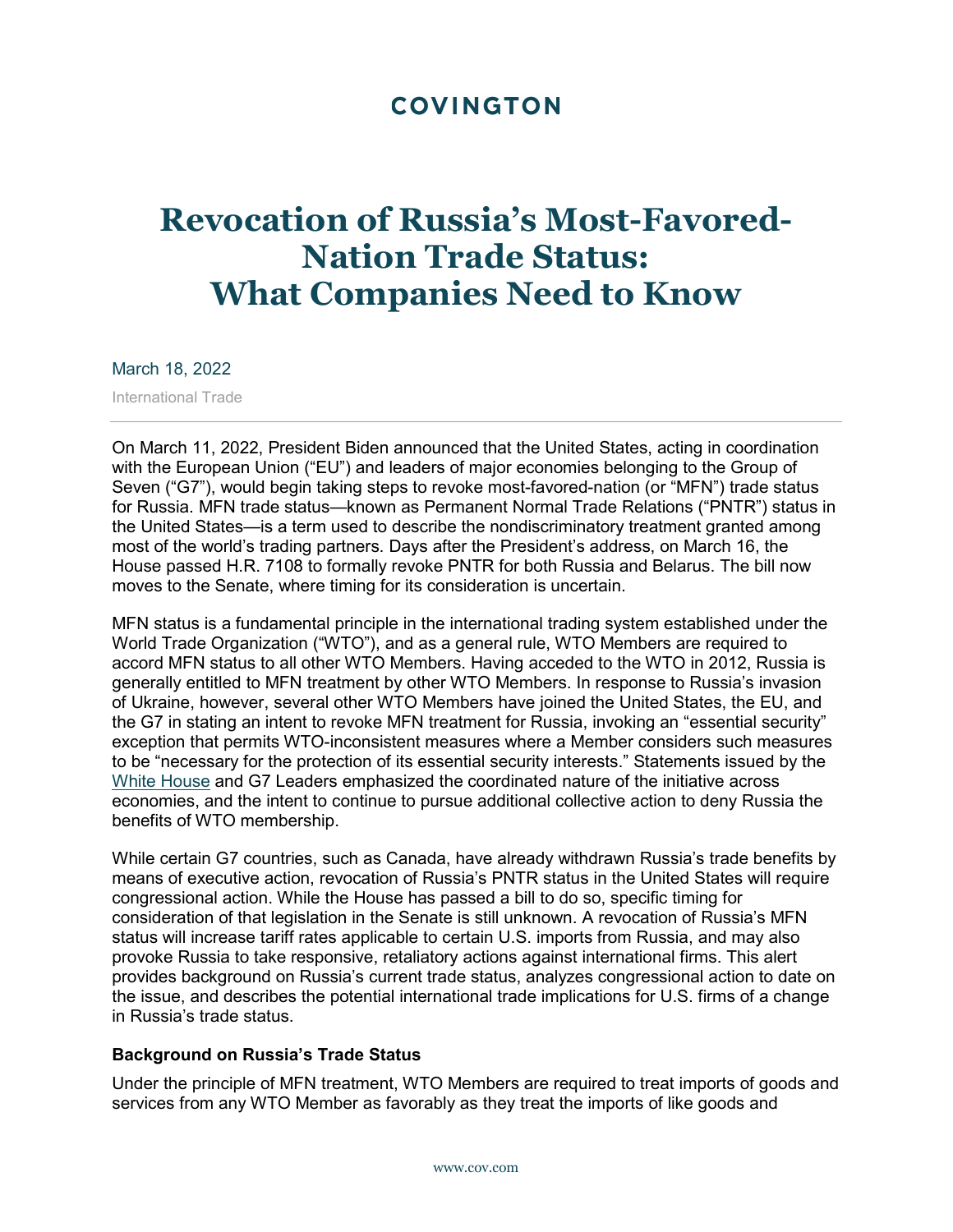## **COVINGTON**

# **Revocation of Russia's Most-Favored-Nation Trade Status: What Companies Need to Know**

March 18, 2022

International Trade

On March 11, 2022, President Biden announced that the United States, acting in coordination with the European Union ("EU") and leaders of major economies belonging to the Group of Seven ("G7"), would begin taking steps to revoke most-favored-nation (or "MFN") trade status for Russia. MFN trade status—known as Permanent Normal Trade Relations ("PNTR") status in the United States—is a term used to describe the nondiscriminatory treatment granted among most of the world's trading partners. Days after the President's address, on March 16, the House passed H.R. 7108 to formally revoke PNTR for both Russia and Belarus. The bill now moves to the Senate, where timing for its consideration is uncertain.

MFN status is a fundamental principle in the international trading system established under the World Trade Organization ("WTO"), and as a general rule, WTO Members are required to accord MFN status to all other WTO Members. Having acceded to the WTO in 2012, Russia is generally entitled to MFN treatment by other WTO Members. In response to Russia's invasion of Ukraine, however, several other WTO Members have joined the United States, the EU, and the G7 in stating an intent to revoke MFN treatment for Russia, invoking an "essential security" exception that permits WTO-inconsistent measures where a Member considers such measures to be "necessary for the protection of its essential security interests." Statements issued by the [White House](https://www.whitehouse.gov/briefing-room/statements-releases/2022/03/11/fact-sheet-united-states-european-union-and-g7-to-announce-further-economic-costs-on-russia/) and G7 Leaders emphasized the coordinated nature of the initiative across economies, and the intent to continue to pursue additional collective action to deny Russia the benefits of WTO membership.

While certain G7 countries, such as Canada, have already withdrawn Russia's trade benefits by means of executive action, revocation of Russia's PNTR status in the United States will require congressional action. While the House has passed a bill to do so, specific timing for consideration of that legislation in the Senate is still unknown. A revocation of Russia's MFN status will increase tariff rates applicable to certain U.S. imports from Russia, and may also provoke Russia to take responsive, retaliatory actions against international firms. This alert provides background on Russia's current trade status, analyzes congressional action to date on the issue, and describes the potential international trade implications for U.S. firms of a change in Russia's trade status.

#### **Background on Russia's Trade Status**

Under the principle of MFN treatment, WTO Members are required to treat imports of goods and services from any WTO Member as favorably as they treat the imports of like goods and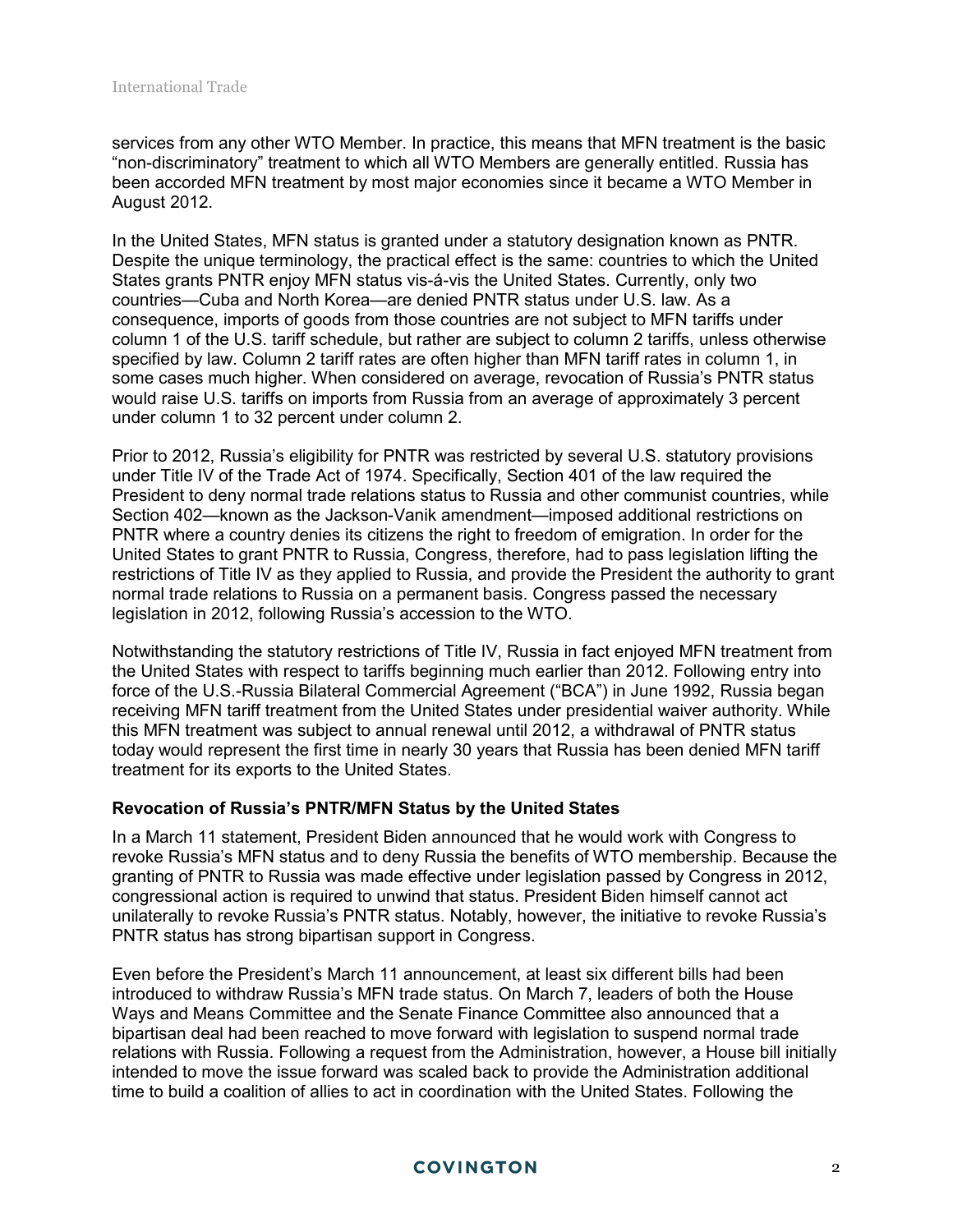services from any other WTO Member. In practice, this means that MFN treatment is the basic "non-discriminatory" treatment to which all WTO Members are generally entitled. Russia has been accorded MFN treatment by most major economies since it became a WTO Member in August 2012.

In the United States, MFN status is granted under a statutory designation known as PNTR. Despite the unique terminology, the practical effect is the same: countries to which the United States grants PNTR enjoy MFN status vis-á-vis the United States. Currently, only two countries—Cuba and North Korea—are denied PNTR status under U.S. law. As a consequence, imports of goods from those countries are not subject to MFN tariffs under column 1 of the U.S. tariff schedule, but rather are subject to column 2 tariffs, unless otherwise specified by law. Column 2 tariff rates are often higher than MFN tariff rates in column 1, in some cases much higher. When considered on average, revocation of Russia's PNTR status would raise U.S. tariffs on imports from Russia from an average of approximately 3 percent under column 1 to 32 percent under column 2.

Prior to 2012, Russia's eligibility for PNTR was restricted by several U.S. statutory provisions under Title IV of the Trade Act of 1974. Specifically, Section 401 of the law required the President to deny normal trade relations status to Russia and other communist countries, while Section 402—known as the Jackson-Vanik amendment—imposed additional restrictions on PNTR where a country denies its citizens the right to freedom of emigration. In order for the United States to grant PNTR to Russia, Congress, therefore, had to pass legislation lifting the restrictions of Title IV as they applied to Russia, and provide the President the authority to grant normal trade relations to Russia on a permanent basis. Congress passed the necessary legislation in 2012, following Russia's accession to the WTO.

Notwithstanding the statutory restrictions of Title IV, Russia in fact enjoyed MFN treatment from the United States with respect to tariffs beginning much earlier than 2012. Following entry into force of the U.S.-Russia Bilateral Commercial Agreement ("BCA") in June 1992, Russia began receiving MFN tariff treatment from the United States under presidential waiver authority. While this MFN treatment was subject to annual renewal until 2012, a withdrawal of PNTR status today would represent the first time in nearly 30 years that Russia has been denied MFN tariff treatment for its exports to the United States.

#### **Revocation of Russia's PNTR/MFN Status by the United States**

In a March 11 statement, President Biden announced that he would work with Congress to revoke Russia's MFN status and to deny Russia the benefits of WTO membership. Because the granting of PNTR to Russia was made effective under legislation passed by Congress in 2012, congressional action is required to unwind that status. President Biden himself cannot act unilaterally to revoke Russia's PNTR status. Notably, however, the initiative to revoke Russia's PNTR status has strong bipartisan support in Congress.

Even before the President's March 11 announcement, at least six different bills had been introduced to withdraw Russia's MFN trade status. On March 7, leaders of both the House Ways and Means Committee and the Senate Finance Committee also announced that a bipartisan deal had been reached to move forward with legislation to suspend normal trade relations with Russia. Following a request from the Administration, however, a House bill initially intended to move the issue forward was scaled back to provide the Administration additional time to build a coalition of allies to act in coordination with the United States. Following the

#### **COVINGTON**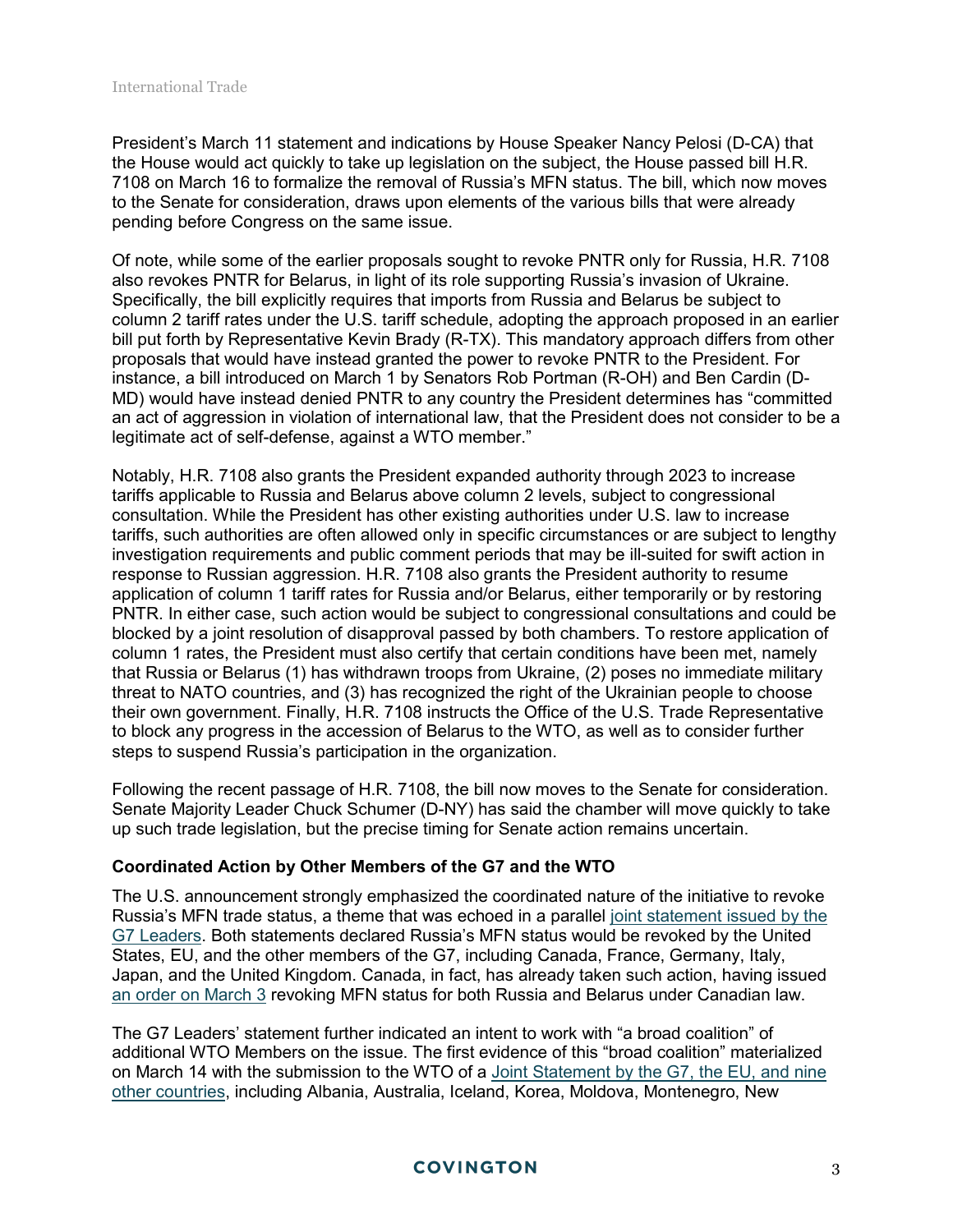President's March 11 statement and indications by House Speaker Nancy Pelosi (D-CA) that the House would act quickly to take up legislation on the subject, the House passed bill H.R. 7108 on March 16 to formalize the removal of Russia's MFN status. The bill, which now moves to the Senate for consideration, draws upon elements of the various bills that were already pending before Congress on the same issue.

Of note, while some of the earlier proposals sought to revoke PNTR only for Russia, H.R. 7108 also revokes PNTR for Belarus, in light of its role supporting Russia's invasion of Ukraine. Specifically, the bill explicitly requires that imports from Russia and Belarus be subject to column 2 tariff rates under the U.S. tariff schedule, adopting the approach proposed in an earlier bill put forth by Representative Kevin Brady (R-TX). This mandatory approach differs from other proposals that would have instead granted the power to revoke PNTR to the President. For instance, a bill introduced on March 1 by Senators Rob Portman (R-OH) and Ben Cardin (D-MD) would have instead denied PNTR to any country the President determines has "committed an act of aggression in violation of international law, that the President does not consider to be a legitimate act of self-defense, against a WTO member."

Notably, H.R. 7108 also grants the President expanded authority through 2023 to increase tariffs applicable to Russia and Belarus above column 2 levels, subject to congressional consultation. While the President has other existing authorities under U.S. law to increase tariffs, such authorities are often allowed only in specific circumstances or are subject to lengthy investigation requirements and public comment periods that may be ill-suited for swift action in response to Russian aggression. H.R. 7108 also grants the President authority to resume application of column 1 tariff rates for Russia and/or Belarus, either temporarily or by restoring PNTR. In either case, such action would be subject to congressional consultations and could be blocked by a joint resolution of disapproval passed by both chambers. To restore application of column 1 rates, the President must also certify that certain conditions have been met, namely that Russia or Belarus (1) has withdrawn troops from Ukraine, (2) poses no immediate military threat to NATO countries, and (3) has recognized the right of the Ukrainian people to choose their own government. Finally, H.R. 7108 instructs the Office of the U.S. Trade Representative to block any progress in the accession of Belarus to the WTO, as well as to consider further steps to suspend Russia's participation in the organization.

Following the recent passage of H.R. 7108, the bill now moves to the Senate for consideration. Senate Majority Leader Chuck Schumer (D-NY) has said the chamber will move quickly to take up such trade legislation, but the precise timing for Senate action remains uncertain.

### **Coordinated Action by Other Members of the G7 and the WTO**

The U.S. announcement strongly emphasized the coordinated nature of the initiative to revoke Russia's MFN trade status, a theme that was echoed in a parallel [joint statement issued by the](https://www.g7germany.de/resource/blob/997532/2014234/39e142fa878dce9e420ef4d29c17969d/2022-03-11-g7-leader-eng-data.pdf?download=1)  [G7 Leaders.](https://www.g7germany.de/resource/blob/997532/2014234/39e142fa878dce9e420ef4d29c17969d/2022-03-11-g7-leader-eng-data.pdf?download=1) Both statements declared Russia's MFN status would be revoked by the United States, EU, and the other members of the G7, including Canada, France, Germany, Italy, Japan, and the United Kingdom. Canada, in fact, has already taken such action, having issued [an order on March 3](https://www.cbsa-asfc.gc.ca/publications/cn-ad/cn22-02-eng.html) revoking MFN status for both Russia and Belarus under Canadian law.

The G7 Leaders' statement further indicated an intent to work with "a broad coalition" of additional WTO Members on the issue. The first evidence of this "broad coalition" materialized on March 14 with the submission to the WTO of a [Joint Statement by the G7, the EU, and nine](https://docs.wto.org/dol2fe/Pages/SS/directdoc.aspx?filename=q:/WT/GC/244.pdf&Open=True)  [other countries,](https://docs.wto.org/dol2fe/Pages/SS/directdoc.aspx?filename=q:/WT/GC/244.pdf&Open=True) including Albania, Australia, Iceland, Korea, Moldova, Montenegro, New

#### **COVINGTON**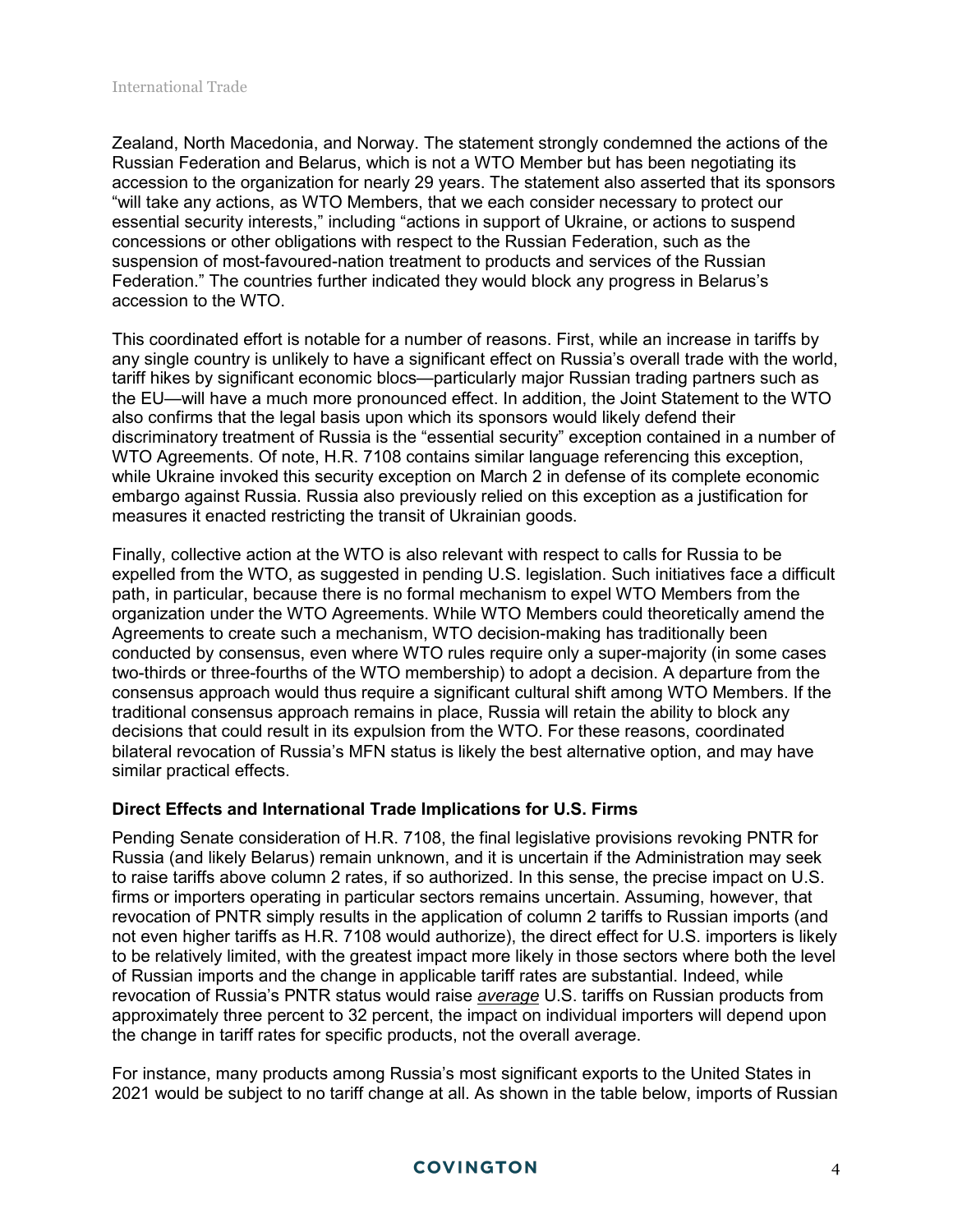Zealand, North Macedonia, and Norway. The statement strongly condemned the actions of the Russian Federation and Belarus, which is not a WTO Member but has been negotiating its accession to the organization for nearly 29 years. The statement also asserted that its sponsors "will take any actions, as WTO Members, that we each consider necessary to protect our essential security interests," including "actions in support of Ukraine, or actions to suspend concessions or other obligations with respect to the Russian Federation, such as the suspension of most-favoured-nation treatment to products and services of the Russian Federation." The countries further indicated they would block any progress in Belarus's accession to the WTO.

This coordinated effort is notable for a number of reasons. First, while an increase in tariffs by any single country is unlikely to have a significant effect on Russia's overall trade with the world, tariff hikes by significant economic blocs—particularly major Russian trading partners such as the EU—will have a much more pronounced effect. In addition, the Joint Statement to the WTO also confirms that the legal basis upon which its sponsors would likely defend their discriminatory treatment of Russia is the "essential security" exception contained in a number of WTO Agreements. Of note, H.R. 7108 contains similar language referencing this exception, while Ukraine invoked this security exception on March 2 in defense of its complete economic embargo against Russia. Russia also previously relied on this exception as a justification for measures it enacted restricting the transit of Ukrainian goods.

Finally, collective action at the WTO is also relevant with respect to calls for Russia to be expelled from the WTO, as suggested in pending U.S. legislation. Such initiatives face a difficult path, in particular, because there is no formal mechanism to expel WTO Members from the organization under the WTO Agreements. While WTO Members could theoretically amend the Agreements to create such a mechanism, WTO decision-making has traditionally been conducted by consensus, even where WTO rules require only a super-majority (in some cases two-thirds or three-fourths of the WTO membership) to adopt a decision. A departure from the consensus approach would thus require a significant cultural shift among WTO Members. If the traditional consensus approach remains in place, Russia will retain the ability to block any decisions that could result in its expulsion from the WTO. For these reasons, coordinated bilateral revocation of Russia's MFN status is likely the best alternative option, and may have similar practical effects.

#### **Direct Effects and International Trade Implications for U.S. Firms**

Pending Senate consideration of H.R. 7108, the final legislative provisions revoking PNTR for Russia (and likely Belarus) remain unknown, and it is uncertain if the Administration may seek to raise tariffs above column 2 rates, if so authorized. In this sense, the precise impact on U.S. firms or importers operating in particular sectors remains uncertain. Assuming, however, that revocation of PNTR simply results in the application of column 2 tariffs to Russian imports (and not even higher tariffs as H.R. 7108 would authorize), the direct effect for U.S. importers is likely to be relatively limited, with the greatest impact more likely in those sectors where both the level of Russian imports and the change in applicable tariff rates are substantial. Indeed, while revocation of Russia's PNTR status would raise *average* U.S. tariffs on Russian products from approximately three percent to 32 percent, the impact on individual importers will depend upon the change in tariff rates for specific products, not the overall average.

For instance, many products among Russia's most significant exports to the United States in 2021 would be subject to no tariff change at all. As shown in the table below, imports of Russian

#### **COVINGTON**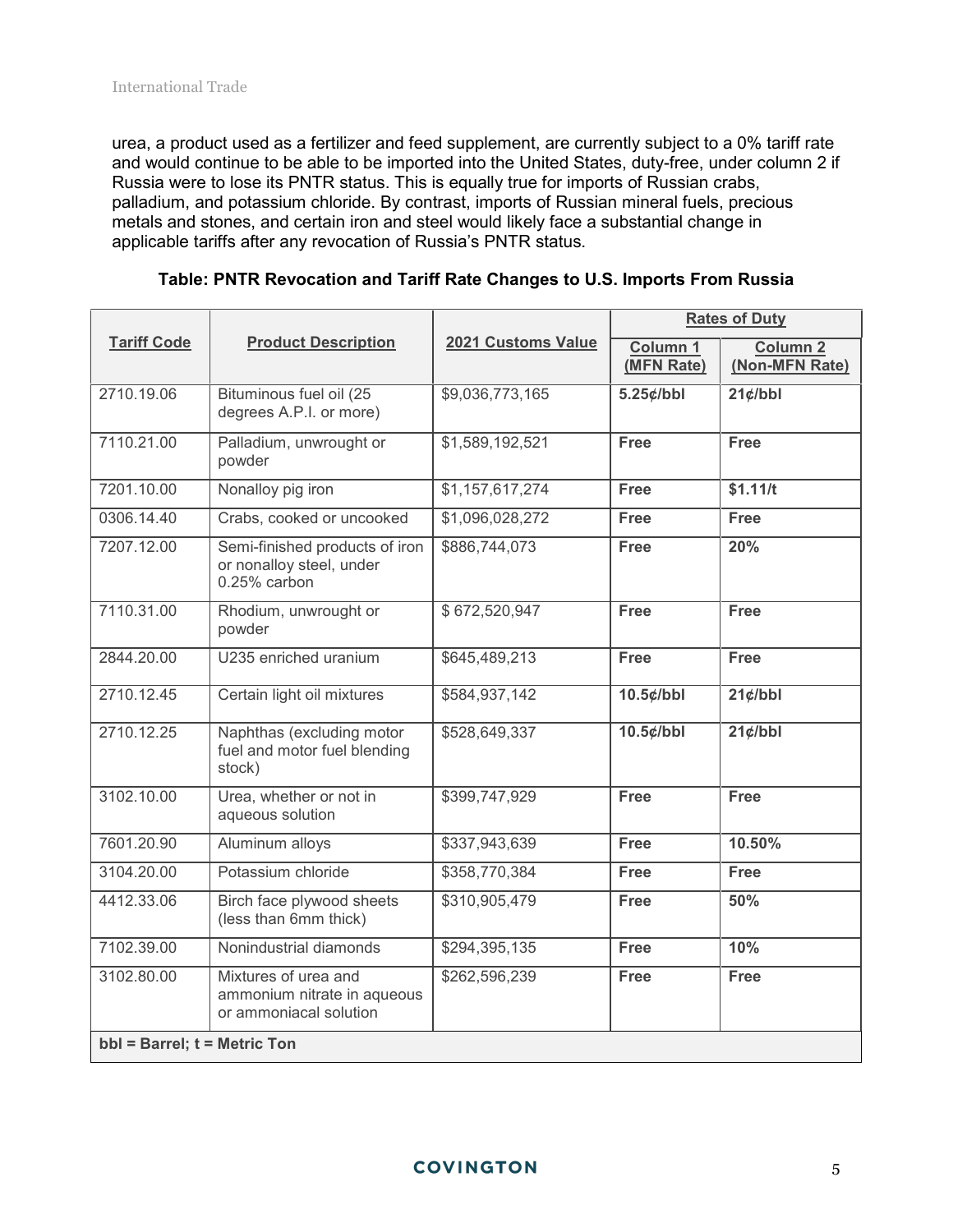urea, a product used as a fertilizer and feed supplement, are currently subject to a 0% tariff rate and would continue to be able to be imported into the United States, duty-free, under column 2 if Russia were to lose its PNTR status. This is equally true for imports of Russian crabs, palladium, and potassium chloride. By contrast, imports of Russian mineral fuels, precious metals and stones, and certain iron and steel would likely face a substantial change in applicable tariffs after any revocation of Russia's PNTR status.

| <b>Tariff Code</b>                | <b>Product Description</b>                                                    | 2021 Customs Value | <b>Rates of Duty</b>   |                                   |
|-----------------------------------|-------------------------------------------------------------------------------|--------------------|------------------------|-----------------------------------|
|                                   |                                                                               |                    | Column 1<br>(MFN Rate) | <b>Column 2</b><br>(Non-MFN Rate) |
| 2710.19.06                        | Bituminous fuel oil (25<br>degrees A.P.I. or more)                            | \$9,036,773,165    | $5.25$ ¢/bbl           | $21$ ¢/bbl                        |
| 7110.21.00                        | Palladium, unwrought or<br>powder                                             | \$1,589,192,521    | <b>Free</b>            | <b>Free</b>                       |
| 7201.10.00                        | Nonalloy pig iron                                                             | \$1,157,617,274    | <b>Free</b>            | \$1.11/t                          |
| 0306.14.40                        | Crabs, cooked or uncooked                                                     | \$1,096,028,272    | <b>Free</b>            | <b>Free</b>                       |
| 7207.12.00                        | Semi-finished products of iron<br>or nonalloy steel, under<br>0.25% carbon    | \$886,744,073      | <b>Free</b>            | 20%                               |
| 7110.31.00                        | Rhodium, unwrought or<br>powder                                               | \$672,520,947      | <b>Free</b>            | <b>Free</b>                       |
| 2844.20.00                        | U235 enriched uranium                                                         | \$645,489,213      | <b>Free</b>            | <b>Free</b>                       |
| 2710.12.45                        | Certain light oil mixtures                                                    | \$584,937,142      | $10.5$ ¢/bbl           | $21$ ¢/bbl                        |
| 2710.12.25                        | Naphthas (excluding motor<br>fuel and motor fuel blending<br>stock)           | \$528,649,337      | $10.5$ ¢/bbl           | $21$ ¢/bbl                        |
| 3102.10.00                        | Urea, whether or not in<br>aqueous solution                                   | \$399,747,929      | <b>Free</b>            | Free                              |
| 7601.20.90                        | Aluminum alloys                                                               | \$337,943,639      | <b>Free</b>            | 10.50%                            |
| 3104.20.00                        | Potassium chloride                                                            | \$358,770,384      | <b>Free</b>            | <b>Free</b>                       |
| 4412.33.06                        | Birch face plywood sheets<br>(less than 6mm thick)                            | \$310,905,479      | <b>Free</b>            | 50%                               |
| 7102.39.00                        | Nonindustrial diamonds                                                        | \$294,395,135      | <b>Free</b>            | 10%                               |
| 3102.80.00                        | Mixtures of urea and<br>ammonium nitrate in aqueous<br>or ammoniacal solution | \$262,596,239      | <b>Free</b>            | <b>Free</b>                       |
| $bbI = Barrel$ ; $t = Metric Ton$ |                                                                               |                    |                        |                                   |

**Table: PNTR Revocation and Tariff Rate Changes to U.S. Imports From Russia**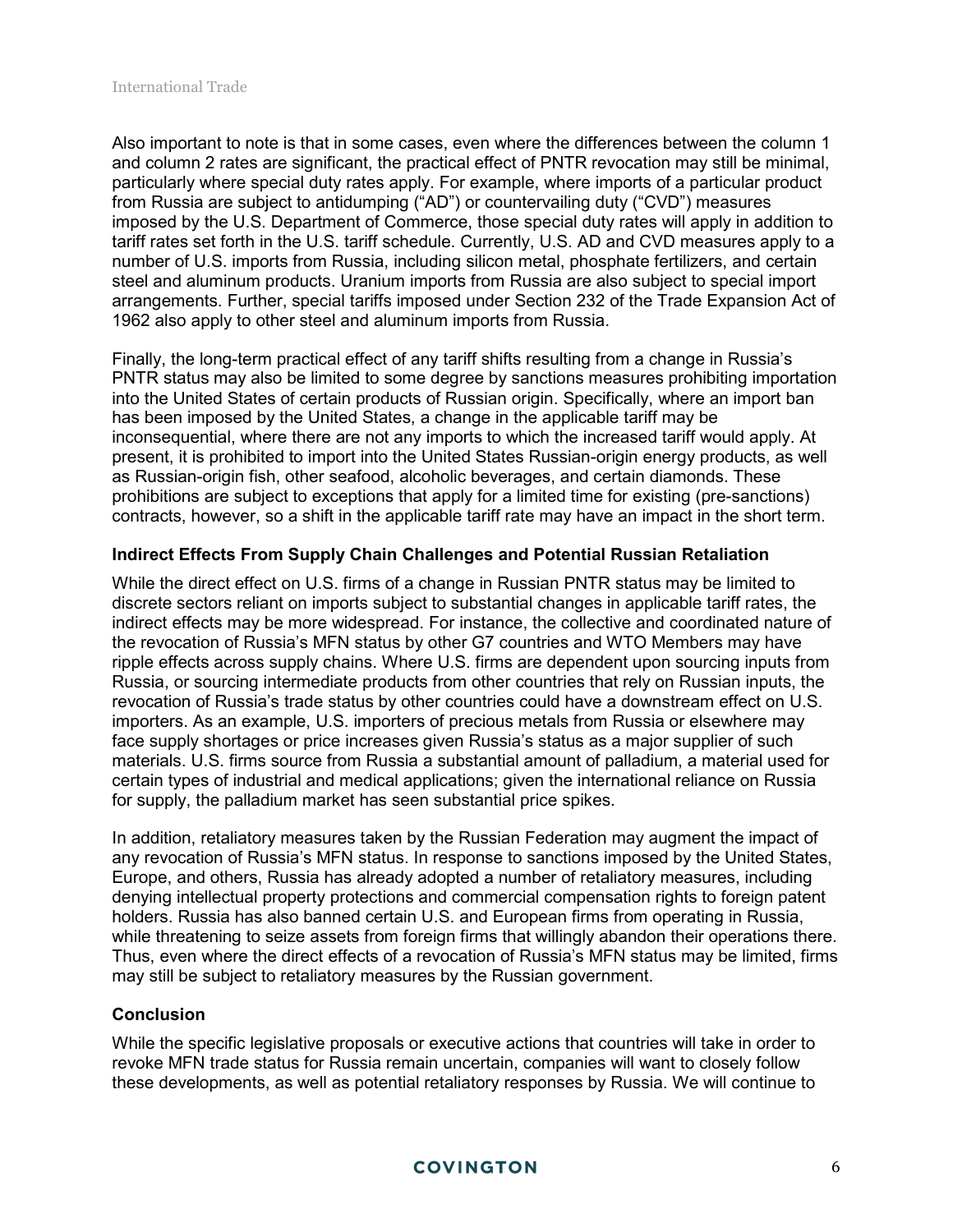Also important to note is that in some cases, even where the differences between the column 1 and column 2 rates are significant, the practical effect of PNTR revocation may still be minimal, particularly where special duty rates apply. For example, where imports of a particular product from Russia are subject to antidumping ("AD") or countervailing duty ("CVD") measures imposed by the U.S. Department of Commerce, those special duty rates will apply in addition to tariff rates set forth in the U.S. tariff schedule. Currently, U.S. AD and CVD measures apply to a number of U.S. imports from Russia, including silicon metal, phosphate fertilizers, and certain steel and aluminum products. Uranium imports from Russia are also subject to special import arrangements. Further, special tariffs imposed under Section 232 of the Trade Expansion Act of 1962 also apply to other steel and aluminum imports from Russia.

Finally, the long-term practical effect of any tariff shifts resulting from a change in Russia's PNTR status may also be limited to some degree by sanctions measures prohibiting importation into the United States of certain products of Russian origin. Specifically, where an import ban has been imposed by the United States, a change in the applicable tariff may be inconsequential, where there are not any imports to which the increased tariff would apply. At present, it is prohibited to import into the United States Russian-origin energy products, as well as Russian-origin fish, other seafood, alcoholic beverages, and certain diamonds. These prohibitions are subject to exceptions that apply for a limited time for existing (pre-sanctions) contracts, however, so a shift in the applicable tariff rate may have an impact in the short term.

#### **Indirect Effects From Supply Chain Challenges and Potential Russian Retaliation**

While the direct effect on U.S. firms of a change in Russian PNTR status may be limited to discrete sectors reliant on imports subject to substantial changes in applicable tariff rates, the indirect effects may be more widespread. For instance, the collective and coordinated nature of the revocation of Russia's MFN status by other G7 countries and WTO Members may have ripple effects across supply chains. Where U.S. firms are dependent upon sourcing inputs from Russia, or sourcing intermediate products from other countries that rely on Russian inputs, the revocation of Russia's trade status by other countries could have a downstream effect on U.S. importers. As an example, U.S. importers of precious metals from Russia or elsewhere may face supply shortages or price increases given Russia's status as a major supplier of such materials. U.S. firms source from Russia a substantial amount of palladium, a material used for certain types of industrial and medical applications; given the international reliance on Russia for supply, the palladium market has seen substantial price spikes.

In addition, retaliatory measures taken by the Russian Federation may augment the impact of any revocation of Russia's MFN status. In response to sanctions imposed by the United States, Europe, and others, Russia has already adopted a number of retaliatory measures, including denying intellectual property protections and commercial compensation rights to foreign patent holders. Russia has also banned certain U.S. and European firms from operating in Russia, while threatening to seize assets from foreign firms that willingly abandon their operations there. Thus, even where the direct effects of a revocation of Russia's MFN status may be limited, firms may still be subject to retaliatory measures by the Russian government.

#### **Conclusion**

While the specific legislative proposals or executive actions that countries will take in order to revoke MFN trade status for Russia remain uncertain, companies will want to closely follow these developments, as well as potential retaliatory responses by Russia. We will continue to